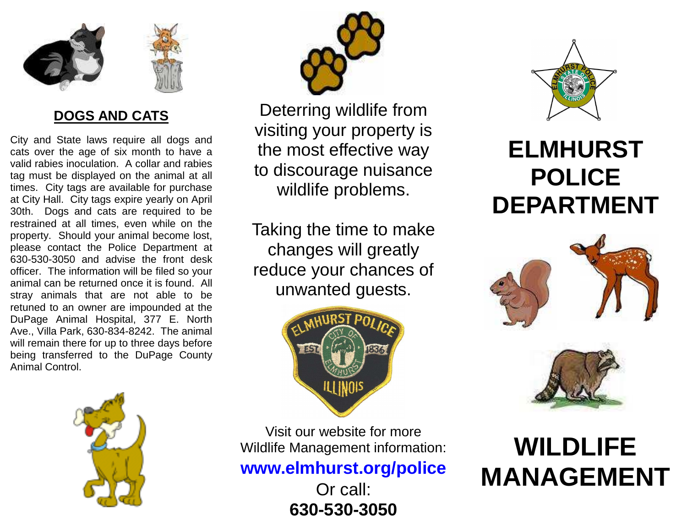

### **DOGS AND CATS**

City and State laws require all dogs and cats over the age of six month to have a valid rabies inoculation. A collar and rabies tag must be displayed on the animal at all times. City tags are available for purchase at City Hall. City tags expire yearly on April 30th. Dogs and cats are required to be restrained at all times, even while on the property. Should your animal become lost, please contact the Police Department at 630-530-3050 and advise the front desk officer. The information will be filed so your animal can be returned once it is found. All stray animals that are not able to be retuned to an owner are impounded at the DuPage Animal Hospital, 377 E. North Ave., Villa Park, 630-834-8242. The animal will remain there for up to three days before being transferred to the DuPage County Animal Control.



Deterring wildlife from visiting your property is the most effective way to discourage nuisance wildlife problems.

Taking the time to make changes will greatly reduce your chances of unwanted guests.



Visit our website for more Wildlife Management information:

**www.elmhurst.org/police** 

Or call: **630-530-3050** 



## **ELMHURST POLICE DEPARTMENT**





# **WILDLIFE MANAGEMENT**